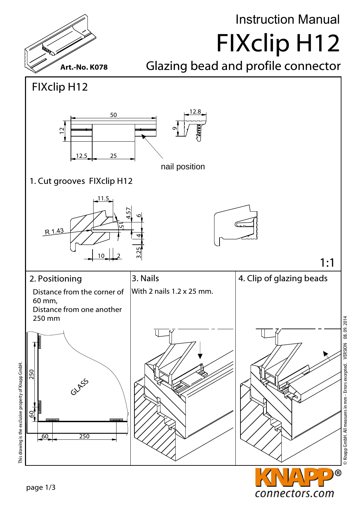

## Instruction Manual FIXclip H12

Glazing bead and profile connector





© Knapp GmbH. All measures in mm - Errors excepted. VERSION 08. 09. 2014 © Knapp GmbH. All measures in mm - Errors excepted. VERSION 08. 09. 2014

 $\blacksquare$ 

connectors.com

This drawing is the exclusive property of Knapp GmbH.

This drawing is the exclusive property of Knapp GmbH.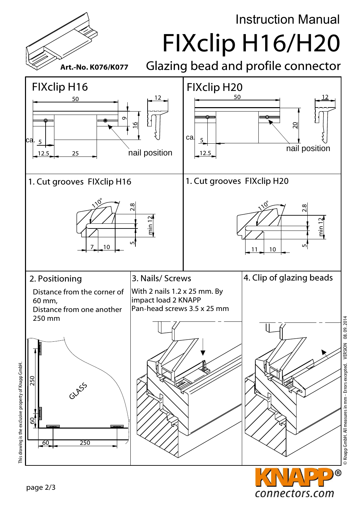FIXclip H16/H20 Glazing bead and profile connector Art.-No. K076/K077 FIXclip H16 FIXclip H20  $50$   $-1$   $12$ 12 50 თ  $\sum_{i=1}^n$ ا≅ ca. 5  $\overline{5}$ nail position nail position  $12.5$  25 12.5 1. Cut grooves FIXclip H20 1. Cut grooves FIXclip H16 <u>مگر</u> <u>مگر</u>  $\frac{5}{2}$   $\frac{2.8}{2}$ 1 $\frac{1}{11}$   $\frac{10}{10}$   $\frac{8}{11}$ 1min 12 min 12 ເກ 10 7 10 2. Positioning 3. Nails/ Screws  $\vert$  4. Clip of glazing beads Distance from the corner of With 2 nails 1.2 x 25 mm. By impact load 2 KNAPP 60 mm, Pan-head screws 3.5 x 25 mm Distance from one another 250 mm This drawing is the exclusive property of Knapp GmbH. This drawing is the exclusive property of Knapp GmbH. 250  $60 + 250$ GLASS 60 250 **O**  $\blacksquare$ 

connectors.com

Instruction Manual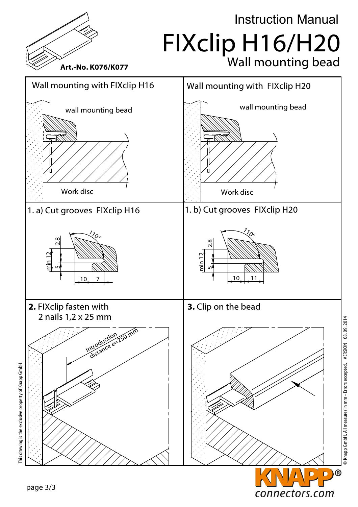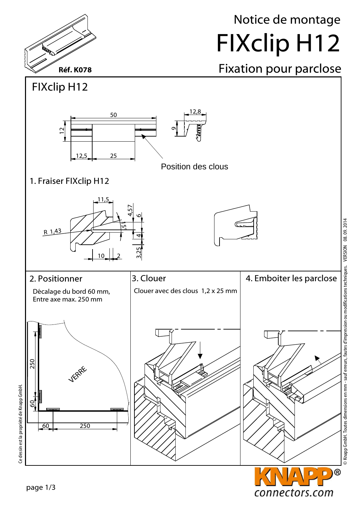

## Notice de montage FIXclip H12

## Fixation pour parclose



connectors.com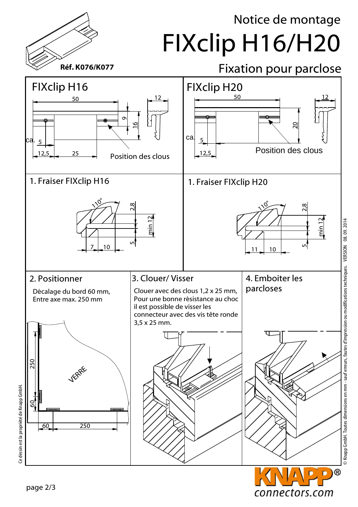## Notice de montage FIXclip H16/H20



Ce dessin est la propriété de Knapp GmbH. Ce dessin est la propriété de Knapp GmbH.

connectors.com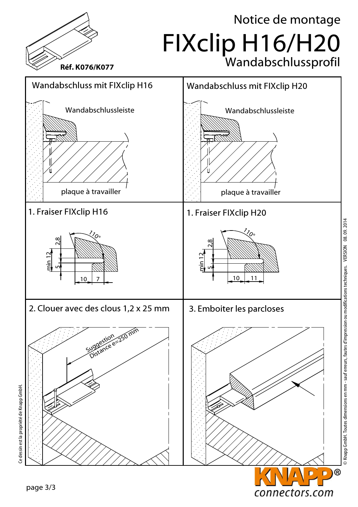

Knapp GmbH. Toutes dimensions en mm - sauf erreurs, fautes d'impression ou modifications techniques. VERSION 08.09.2014 © Knapp GmbH. Toutes dimensions en mm - sauf erreurs, fautes d'impression ou modifications techniques. VERSION 08. 09. 2014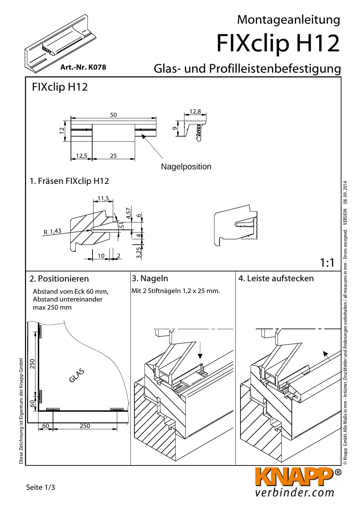

S Knapp GmbH. Alle Maße in mm - Irrtümer, Druckfehler und Änderungen vorbehalten / all measures in mm - Errors excepted. VERSION 08.09.2014 © Knapp GmbH. Alle Maße in mm - Irrtümer, Druckfehler und Änderungen vorbehalten / all measures in mm - Errors excepted. VERSION 08. 09. 2014

verbinder.com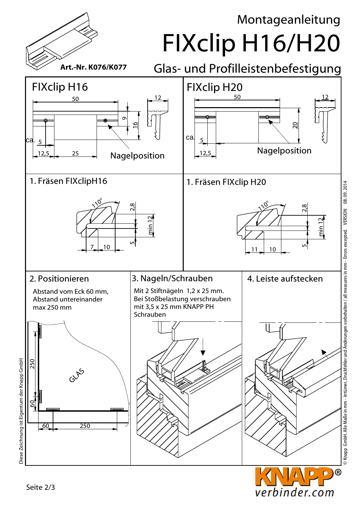Montageanleitung

FIXclip H16/H20



Glas- und Profilleistenbefestigung



verbinder.com